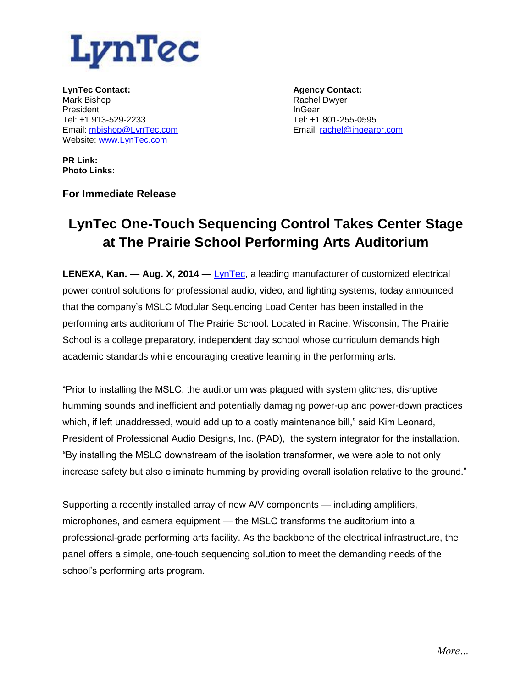

**LynTec Contact:** Mark Bishop President Tel: +1 913-529-2233 Email: [mbishop@LynTec.com](mailto:mbishop@LynTec.com) Website: [www.LynTec.com](http://www.lyntec.com/)

**Agency Contact:** Rachel Dwyer InGear Tel: +1 801-255-0595 Email: [rachel@ingearpr.com](mailto:rachel@ingearpr.com)

**PR Link: Photo Links:**

**For Immediate Release** 

## **LynTec One-Touch Sequencing Control Takes Center Stage at The Prairie School Performing Arts Auditorium**

**LENEXA, Kan.** — **Aug. X, 2014** — [LynTec,](http://www.lyntec.com/) a leading manufacturer of customized electrical power control solutions for professional audio, video, and lighting systems, today announced that the company's MSLC Modular Sequencing Load Center has been installed in the performing arts auditorium of The Prairie School. Located in Racine, Wisconsin, The Prairie School is a college preparatory, independent day school whose curriculum demands high academic standards while encouraging creative learning in the performing arts.

"Prior to installing the MSLC, the auditorium was plagued with system glitches, disruptive humming sounds and inefficient and potentially damaging power-up and power-down practices which, if left unaddressed, would add up to a costly maintenance bill," said Kim Leonard, President of Professional Audio Designs, Inc. (PAD), the system integrator for the installation. "By installing the MSLC downstream of the isolation transformer, we were able to not only increase safety but also eliminate humming by providing overall isolation relative to the ground."

Supporting a recently installed array of new A/V components — including amplifiers, microphones, and camera equipment — the MSLC transforms the auditorium into a professional-grade performing arts facility. As the backbone of the electrical infrastructure, the panel offers a simple, one-touch sequencing solution to meet the demanding needs of the school's performing arts program.